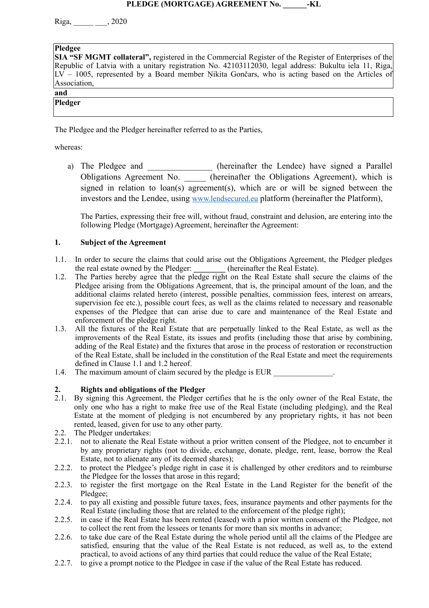#### **PLEDGE (MORTGAGE) AGREEMENT No. \_\_\_\_\_\_-KL**

Riga, \_\_\_\_\_ \_\_\_, 2020

#### **Pledgee**

**SIA "SF MGMT collateral",** registered in the Commercial Register of the Register of Enterprises of the Republic of Latvia with a unitary registration No. 42103112030, legal address: Bukultu iela 11, Riga,  $LV - 1005$ , represented by a Board member Nikita Gončars, who is acting based on the Articles of Association,

#### **and**

**Pledger** 

The Pledgee and the Pledger hereinafter referred to as the Parties,

whereas:

a) The Pledgee and \_\_\_\_\_\_\_\_\_\_\_\_\_ (hereinafter the Lendee) have signed a Parallel Obligations Agreement No. \_\_\_\_\_ (hereinafter the Obligations Agreement), which is signed in relation to  $\text{loan}(s)$  agreement(s), which are or will be signed between the investors and the Lendee, using [www.lendsecured.eu](http://www.lendsecured.eu) platform (hereinafter the Platform),

The Parties, expressing their free will, without fraud, constraint and delusion, are entering into the following Pledge (Mortgage) Agreement, hereinafter the Agreement:

#### **1. Subject of the Agreement**

- 1.1. In order to secure the claims that could arise out the Obligations Agreement, the Pledger pledges the real estate owned by the Pledger: **\_\_\_\_\_\_\_\_** (hereinafter the Real Estate).
- 1.2. The Parties hereby agree that the pledge right on the Real Estate shall secure the claims of the Pledgee arising from the Obligations Agreement, that is, the principal amount of the loan, and the additional claims related hereto (interest, possible penalties, commission fees, interest on arrears, supervision fee etc.), possible court fees, as well as the claims related to necessary and reasonable expenses of the Pledgee that can arise due to care and maintenance of the Real Estate and enforcement of the pledge right.
- 1.3. All the fixtures of the Real Estate that are perpetually linked to the Real Estate, as well as the improvements of the Real Estate, its issues and profits (including those that arise by combining, adding of the Real Estate) and the fixtures that arose in the process of restoration or reconstruction of the Real Estate, shall be included in the constitution of the Real Estate and meet the requirements defined in Clause 1.1 and 1.2 hereof.
- 1.4. The maximum amount of claim secured by the pledge is EUR  $\blacksquare$

## **2. Rights and obligations of the Pledger**

- 2.1. By signing this Agreement, the Pledger certifies that he is the only owner of the Real Estate, the only one who has a right to make free use of the Real Estate (including pledging), and the Real Estate at the moment of pledging is not encumbered by any proprietary rights, it has not been rented, leased, given for use to any other party.
- 2.2. The Pledger undertakes:
- 2.2.1. not to alienate the Real Estate without a prior written consent of the Pledgee, not to encumber it by any proprietary rights (not to divide, exchange, donate, pledge, rent, lease, borrow the Real Estate, not to alienate any of its deemed shares);
- 2.2.2. to protect the Pledgee's pledge right in case it is challenged by other creditors and to reimburse the Pledgee for the losses that arose in this regard;
- 2.2.3. to register the first mortgage on the Real Estate in the Land Register for the benefit of the Pledgee;
- 2.2.4. to pay all existing and possible future taxes, fees, insurance payments and other payments for the Real Estate (including those that are related to the enforcement of the pledge right);
- 2.2.5. in case if the Real Estate has been rented (leased) with a prior written consent of the Pledgee, not to collect the rent from the lessees or tenants for more than six months in advance;
- 2.2.6. to take due care of the Real Estate during the whole period until all the claims of the Pledgee are satisfied, ensuring that the value of the Real Estate is not reduced, as well as, to the extend practical, to avoid actions of any third parties that could reduce the value of the Real Estate;
- 2.2.7. to give a prompt notice to the Pledgee in case if the value of the Real Estate has reduced.